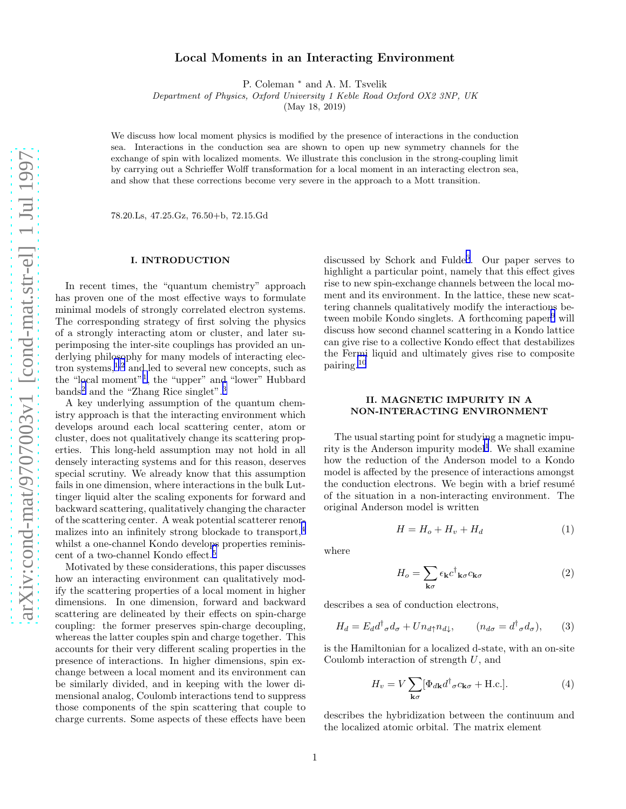# Local Moments in an Interacting Environment

P. Coleman <sup>∗</sup> and A. M. Tsvelik

Department of Physics, Oxford University 1 Keble Road Oxford OX2 3NP, UK

(May 18, 2019)

We discuss how local moment physics is modified by the presence of interactions in the conduction sea. Interactions in the conduction sea are shown to open up new symmetry channels for the exchange of spin with localized moments. We illustrate this conclusion in the strong-coupling limit by carrying out a Schrieffer Wolff transformation for a local moment in an interacting electron sea, and show that these corrections become very severe in the approach to a Mott transition.

78.20.Ls, 47.25.Gz, 76.50+b, 72.15.Gd

#### I. INTRODUCTION

In recent times, the "quantum chemistry" approach has proven one of the most effective ways to formulate minimal models of strongly correlated electron systems. The corresponding strategy of first solving the physics of a strongly interacting atom or cluster, and later superimposing the inter-site couplings has provided an underlying philosophy for many models of interacting electron systems, $1,2$  $1,2$  $1,2$  and led to several new concepts, such as the "local moment"[1](#page-3-0) , the "upper" and "lower" Hubbard bands<sup>[2](#page-3-0)</sup> and the "Zhang Rice singlet".<sup>[3](#page-3-0)</sup>

A key underlying assumption of the quantum chemistry approach is that the interacting environment which develops around each local scattering center, atom or cluster, does not qualitatively change its scattering properties. This long-held assumption may not hold in all densely interacting systems and for this reason, deserves special scrutiny. We already know that this assumption fails in one dimension, where interactions in the bulk Luttinger liquid alter the scaling exponents for forward and backward scattering, qualitatively changing the character of the scattering center. A weak potential scatterer renormalizes into an infinitely strong blockade to transport,[4](#page-3-0) whilst a one-channel Kondo develops properties reminiscent of a two-channel Kondo effect.[5](#page-3-0)

Motivated by these considerations, this paper discusses how an interacting environment can qualitatively modify the scattering properties of a local moment in higher dimensions. In one dimension, forward and backward scattering are delineated by their effects on spin-charge coupling: the former preserves spin-charge decoupling, whereas the latter couples spin and charge together. This accounts for their very different scaling properties in the presence of interactions. In higher dimensions, spin exchange between a local moment and its environment can be similarly divided, and in keeping with the lower dimensional analog, Coulomb interactions tend to suppress those components of the spin scattering that couple to charge currents. Some aspects of these effects have been

discussed by Schork and Fulde<sup>[6](#page-3-0)</sup>. Our paper serves to highlight a particular point, namely that this effect gives rise to new spin-exchange channels between the local moment and its environment. In the lattice, these new scattering channels qualitatively modify the interactions be-tween mobile Kondo singlets. A forthcoming paper<sup>[9](#page-3-0)</sup> will discuss how second channel scattering in a Kondo lattice can give rise to a collective Kondo effect that destabilizes the Fermi liquid and ultimately gives rise to composite pairing.[10](#page-3-0)

## II. MAGNETIC IMPURITY IN A NON-INTERACTING ENVIRONMENT

The usual starting point for studying a magnetic impu-rity is the Anderson impurity model<sup>[1](#page-3-0)</sup>. We shall examine how the reduction of the Anderson model to a Kondo model is affected by the presence of interactions amongst the conduction electrons. We begin with a brief resumé of the situation in a non-interacting environment. The original Anderson model is written

$$
H = H_o + H_v + H_d \tag{1}
$$

where

$$
H_o = \sum_{\mathbf{k}\sigma} \epsilon_{\mathbf{k}} c^{\dagger}{}_{\mathbf{k}\sigma} c_{\mathbf{k}\sigma} \tag{2}
$$

describes a sea of conduction electrons,

$$
H_d = E_d d^{\dagger}_{\sigma} d_{\sigma} + U n_{d\uparrow} n_{d\downarrow}, \qquad (n_{d\sigma} = d^{\dagger}_{\sigma} d_{\sigma}), \qquad (3)
$$

is the Hamiltonian for a localized d-state, with an on-site Coulomb interaction of strength U, and

$$
H_v = V \sum_{\mathbf{k}\sigma} [\Phi_{d\mathbf{k}} d^{\dagger}_{\sigma} c_{\mathbf{k}\sigma} + \text{H.c.}]. \tag{4}
$$

describes the hybridization between the continuum and the localized atomic orbital. The matrix element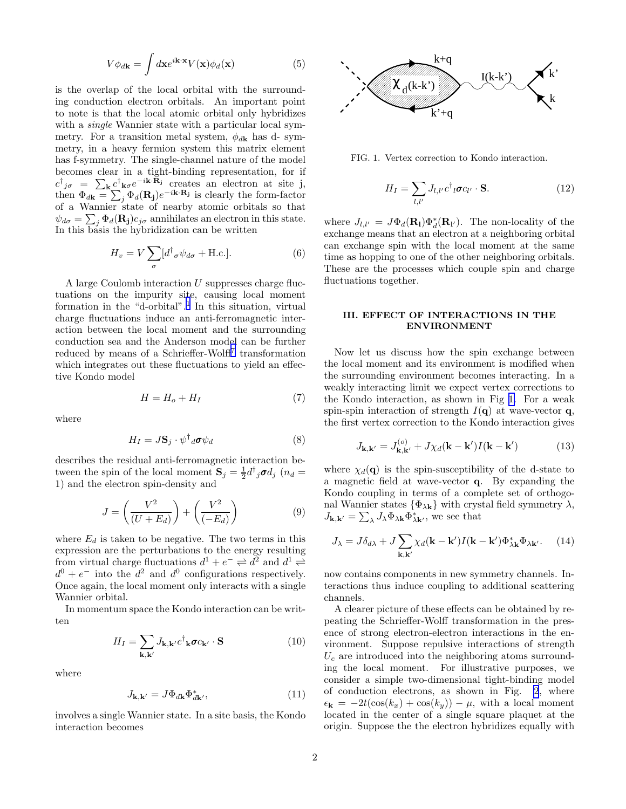$$
V\phi_{d\mathbf{k}} = \int d\mathbf{x} e^{i\mathbf{k}\cdot\mathbf{x}} V(\mathbf{x}) \phi_d(\mathbf{x})
$$
 (5)

<span id="page-1-0"></span>is the overlap of the local orbital with the surrounding conduction electron orbitals. An important point to note is that the local atomic orbital only hybridizes with a *single* Wannier state with a particular local symmetry. For a transition metal system,  $\phi_{d\mathbf{k}}$  has d-symmetry, in a heavy fermion system this matrix element has f-symmetry. The single-channel nature of the model becomes clear in a tight-binding representation, for if  $c^{\dagger}_{j\sigma} = \sum_{\mathbf{k}} c^{\dagger}_{\mathbf{k}\sigma} e^{-i\mathbf{k}\cdot\mathbf{R}_{j}}$  creates an electron at site j, then  $\Phi_{d\mathbf{k}} = \sum_j \Phi_d(\mathbf{R_j}) e^{-i\mathbf{k} \cdot \mathbf{R_j}}$  is clearly the form-factor of a Wannier state of nearby atomic orbitals so that  $\psi_{d\sigma} = \sum_{j} \Phi_d(\mathbf{R_j}) c_{j\sigma}$  annihilates an electron in this state. In this basis the hybridization can be written

$$
H_v = V \sum_{\sigma} [d^{\dagger}{}_{\sigma} \psi_{d\sigma} + \text{H.c.}]. \tag{6}
$$

A large Coulomb interaction U suppresses charge fluctuations on the impurity site, causing local moment formation in the "d-orbital".<sup>[1](#page-3-0)</sup> In this situation, virtual charge fluctuations induce an anti-ferromagnetic interaction between the local moment and the surrounding conduction sea and the Anderson model can be further reduced by means of a Schrieffer-Wolff<sup>[7](#page-3-0)</sup> transformation which integrates out these fluctuations to yield an effective Kondo model

$$
H = H_o + H_I \tag{7}
$$

where

$$
H_I = J\mathbf{S}_j \cdot \psi^\dagger{}_d \boldsymbol{\sigma} \psi_d \tag{8}
$$

describes the residual anti-ferromagnetic interaction between the spin of the local moment  $S_j = \frac{1}{2} d^{\dagger}_j \sigma d_j$  ( $n_d =$ 1) and the electron spin-density and

$$
J = \left(\frac{V^2}{(U + E_d)}\right) + \left(\frac{V^2}{(-E_d)}\right) \tag{9}
$$

where  $E_d$  is taken to be negative. The two terms in this expression are the perturbations to the energy resulting from virtual charge fluctuations  $d^1 + e^- \rightleftharpoons d^2$  and  $d^1 \rightleftharpoons$  $d^0 + e^-$  into the  $d^2$  and  $d^0$  configurations respectively. Once again, the local moment only interacts with a single Wannier orbital.

In momentum space the Kondo interaction can be written

$$
H_{I} = \sum_{\mathbf{k}, \mathbf{k}'} J_{\mathbf{k}, \mathbf{k}'} c^{\dagger}{}_{\mathbf{k}} \boldsymbol{\sigma} c_{\mathbf{k}'} \cdot \mathbf{S}
$$
 (10)

where

$$
J_{\mathbf{k},\mathbf{k}'} = J\Phi_{d\mathbf{k}}\Phi_{d\mathbf{k}'}^*,\tag{11}
$$

involves a single Wannier state. In a site basis, the Kondo interaction becomes



FIG. 1. Vertex correction to Kondo interaction.

$$
H_I = \sum_{l,l'} J_{l,l'} c^{\dagger}{}_{l} \sigma c_{l'} \cdot \mathbf{S}.
$$
 (12)

where  $J_{l,l'} = J\Phi_d(\mathbf{R}_l)\Phi_d^*(\mathbf{R}_{l'})$ . The non-locality of the exchange means that an electron at a neighboring orbital can exchange spin with the local moment at the same time as hopping to one of the other neighboring orbitals. These are the processes which couple spin and charge fluctuations together.

### III. EFFECT OF INTERACTIONS IN THE ENVIRONMENT

Now let us discuss how the spin exchange between the local moment and its environment is modified when the surrounding environment becomes interacting. In a weakly interacting limit we expect vertex corrections to the Kondo interaction, as shown in Fig 1. For a weak spin-spin interaction of strength  $I(q)$  at wave-vector q, the first vertex correction to the Kondo interaction gives

$$
J_{\mathbf{k},\mathbf{k}'} = J_{\mathbf{k},\mathbf{k}'}^{(o)} + J\chi_d(\mathbf{k} - \mathbf{k}')I(\mathbf{k} - \mathbf{k}')
$$
 (13)

where  $\chi_d(\mathbf{q})$  is the spin-susceptibility of the d-state to a magnetic field at wave-vector q. By expanding the Kondo coupling in terms of a complete set of orthogonal Wannier states  $\{\Phi_{\lambda k}\}\$  with crystal field symmetry  $\lambda$ ,  $J_{\mathbf{k},\mathbf{k'}} = \sum_{\lambda} J_{\lambda} \Phi_{\lambda \mathbf{k}} \Phi_{\lambda \mathbf{k'}}^{*}$ , we see that

$$
J_{\lambda} = J\delta_{d\lambda} + J \sum_{\mathbf{k},\mathbf{k'}} \chi_d(\mathbf{k} - \mathbf{k'}) I(\mathbf{k} - \mathbf{k'}) \Phi_{\lambda \mathbf{k}}^* \Phi_{\lambda \mathbf{k'}}.
$$
 (14)

now contains components in new symmetry channels. Interactions thus induce coupling to additional scattering channels.

A clearer picture of these effects can be obtained by repeating the Schrieffer-Wolff transformation in the presence of strong electron-electron interactions in the environment. Suppose repulsive interactions of strength  $U_c$  are introduced into the neighboring atoms surrounding the local moment. For illustrative purposes, we consider a simple two-dimensional tight-binding model of conduction electrons, as shown in Fig. [2](#page-2-0), where  $\epsilon_{\mathbf{k}} = -2t(\cos(k_x) + \cos(k_y)) - \mu$ , with a local moment located in the center of a single square plaquet at the origin. Suppose the the electron hybridizes equally with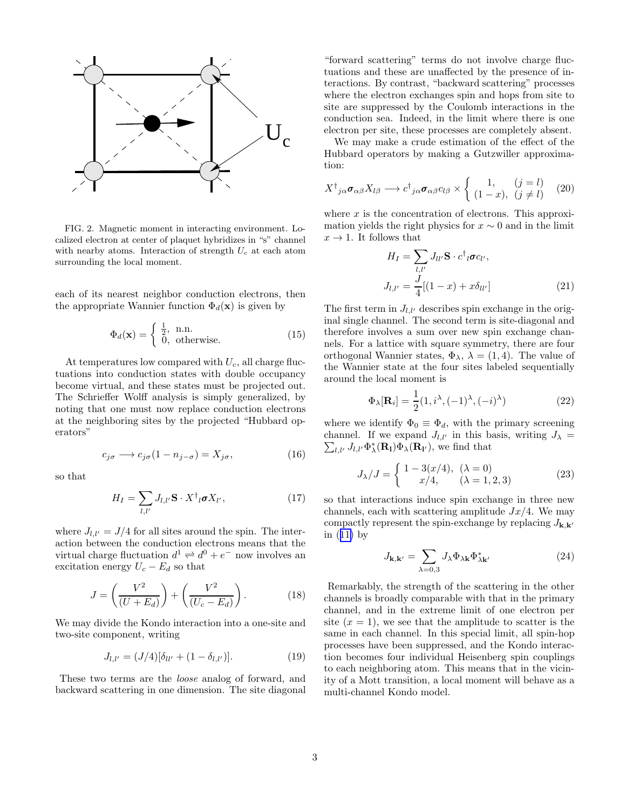<span id="page-2-0"></span>

FIG. 2. Magnetic moment in interacting environment. Localized electron at center of plaquet hybridizes in "s" channel with nearby atoms. Interaction of strength  $U_c$  at each atom surrounding the local moment.

each of its nearest neighbor conduction electrons, then the appropriate Wannier function  $\Phi_d(\mathbf{x})$  is given by

$$
\Phi_d(\mathbf{x}) = \begin{cases} \frac{1}{2}, & \text{n.n.} \\ 0, & \text{otherwise.} \end{cases}
$$
 (15)

At temperatures low compared with  $U_c$ , all charge fluctuations into conduction states with double occupancy become virtual, and these states must be projected out. The Schrieffer Wolff analysis is simply generalized, by noting that one must now replace conduction electrons at the neighboring sites by the projected "Hubbard operators"

$$
c_{j\sigma} \longrightarrow c_{j\sigma} (1 - n_{j-\sigma}) = X_{j\sigma}, \tag{16}
$$

so that

$$
H_I = \sum_{l,l'} J_{l,l'} \mathbf{S} \cdot X^{\dagger}{}_{l} \boldsymbol{\sigma} X_{l'}, \qquad (17)
$$

where  $J_{l,l'} = J/4$  for all sites around the spin. The interaction between the conduction electrons means that the virtual charge fluctuation  $d^1 \rightleftharpoons d^0 + e^-$  now involves an excitation energy  $U_c - E_d$  so that

$$
J = \left(\frac{V^2}{(U + E_d)}\right) + \left(\frac{V^2}{(U_c - E_d)}\right). \tag{18}
$$

We may divide the Kondo interaction into a one-site and two-site component, writing

$$
J_{l,l'} = (J/4)[\delta_{ll'} + (1 - \delta_{l,l'})]. \tag{19}
$$

These two terms are the loose analog of forward, and backward scattering in one dimension. The site diagonal

"forward scattering" terms do not involve charge fluctuations and these are unaffected by the presence of interactions. By contrast, "backward scattering" processes where the electron exchanges spin and hops from site to site are suppressed by the Coulomb interactions in the conduction sea. Indeed, in the limit where there is one electron per site, these processes are completely absent.

We may make a crude estimation of the effect of the Hubbard operators by making a Gutzwiller approximation:

$$
X^{\dagger}_{\;j\alpha}\boldsymbol{\sigma}_{\alpha\beta}X_{l\beta}\longrightarrow c^{\dagger}_{\;j\alpha}\boldsymbol{\sigma}_{\alpha\beta}c_{l\beta}\times\left\{\begin{array}{cc}1,&(j=l)\\(1-x),&(j\neq l)\end{array}\right.\quad(20)
$$

where  $x$  is the concentration of electrons. This approximation yields the right physics for  $x \sim 0$  and in the limit  $x \to 1$ . It follows that

$$
H_{I} = \sum_{l,l'} J_{ll'} \mathbf{S} \cdot c^{\dagger}{}_{l} \boldsymbol{\sigma} c_{l'},
$$
  

$$
J_{l,l'} = \frac{J}{4} [(1-x) + x \delta_{ll'}]
$$
 (21)

The first term in  $J_{l,l'}$  describes spin exchange in the original single channel. The second term is site-diagonal and therefore involves a sum over new spin exchange channels. For a lattice with square symmetry, there are four orthogonal Wannier states,  $\Phi_{\lambda}$ ,  $\lambda = (1, 4)$ . The value of the Wannier state at the four sites labeled sequentially around the local moment is

$$
\Phi_{\lambda}[\mathbf{R}_i] = \frac{1}{2} (1, i^{\lambda}, (-1)^{\lambda}, (-i)^{\lambda})
$$
\n(22)

where we identify  $\Phi_0 \equiv \Phi_d$ , with the primary screening channel. If we expand  $J_{l,l'}$  in this basis, writing  $J_{\lambda} = \sum_{l,l'} J_{l,l'} \Phi_{\lambda}^*(\mathbf{R}_l) \Phi_{\lambda}(\mathbf{R}_{l'})$ , we find that  $_{l,l'}$   $J_{l,l'}\Phi_{\lambda}^*(\mathbf{R}_l)\Phi_{\lambda}(\mathbf{R}_{l'}),$  we find that

$$
J_{\lambda}/J = \begin{cases} 1 - 3(x/4), & (\lambda = 0) \\ x/4, & (\lambda = 1, 2, 3) \end{cases}
$$
 (23)

so that interactions induce spin exchange in three new channels, each with scattering amplitude  $Jx/4$ . We may compactly represent the spin-exchange by replacing  $J_{\mathbf{k},\mathbf{k}'}$ in([11\)](#page-1-0) by

$$
J_{\mathbf{k},\mathbf{k'}} = \sum_{\lambda=0,3} J_{\lambda} \Phi_{\lambda \mathbf{k}} \Phi_{\lambda \mathbf{k'}}^{*}
$$
 (24)

Remarkably, the strength of the scattering in the other channels is broadly comparable with that in the primary channel, and in the extreme limit of one electron per site  $(x = 1)$ , we see that the amplitude to scatter is the same in each channel. In this special limit, all spin-hop processes have been suppressed, and the Kondo interaction becomes four individual Heisenberg spin couplings to each neighboring atom. This means that in the vicinity of a Mott transition, a local moment will behave as a multi-channel Kondo model.